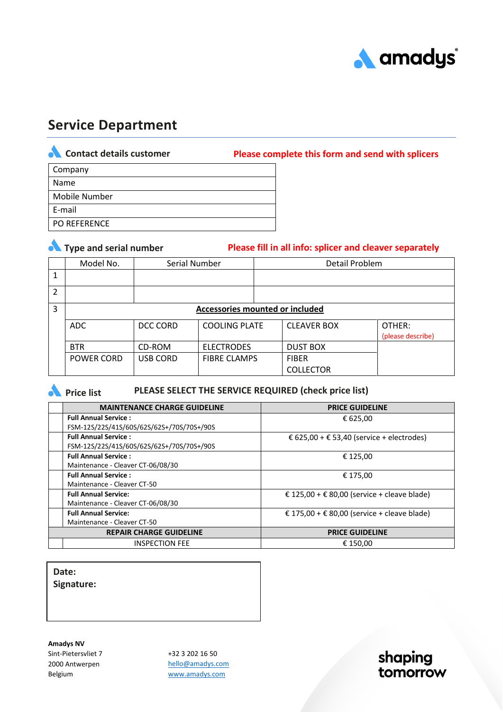

# **Service Department**

**Contact details customer Please complete this form and send with splicers**

| Company              |
|----------------------|
| Name                 |
| <b>Mobile Number</b> |
| E-mail               |
| PO REFERENCE         |

|               | • Type and serial number        |                 |                      | Please fill in all info: splicer and cleaver separately |                             |  |
|---------------|---------------------------------|-----------------|----------------------|---------------------------------------------------------|-----------------------------|--|
|               | Model No.                       | Serial Number   |                      | Detail Problem                                          |                             |  |
|               |                                 |                 |                      |                                                         |                             |  |
| $\mathcal{P}$ |                                 |                 |                      |                                                         |                             |  |
| 3             | Accessories mounted or included |                 |                      |                                                         |                             |  |
|               | ADC                             | DCC CORD        | <b>COOLING PLATE</b> | <b>CLEAVER BOX</b>                                      | OTHER:<br>(please describe) |  |
|               | <b>BTR</b>                      | CD-ROM          | <b>ELECTRODES</b>    | <b>DUST BOX</b>                                         |                             |  |
|               | <b>POWER CORD</b>               | <b>USB CORD</b> | <b>FIBRE CLAMPS</b>  | <b>FIBER</b>                                            |                             |  |
|               |                                 |                 |                      | <b>COLLECTOR</b>                                        |                             |  |

**A** Price list

**PLEASE SELECT THE SERVICE REQUIRED (check price list)**

| <b>MAINTENANCE CHARGE GUIDELINE</b>       | <b>PRICE GUIDELINE</b>                      |  |
|-------------------------------------------|---------------------------------------------|--|
| <b>Full Annual Service:</b>               | € 625,00                                    |  |
| FSM-12S/22S/41S/60S/62S/62S+/70S/70S+/90S |                                             |  |
| <b>Full Annual Service:</b>               | € 625,00 + € 53,40 (service + electrodes)   |  |
| FSM-12S/22S/41S/60S/62S/62S+/70S/70S+/90S |                                             |  |
| <b>Full Annual Service:</b>               | € 125,00                                    |  |
| Maintenance - Cleaver CT-06/08/30         |                                             |  |
| <b>Full Annual Service:</b>               | € 175.00                                    |  |
| Maintenance - Cleaver CT-50               |                                             |  |
| <b>Full Annual Service:</b>               | € 125,00 + € 80,00 (service + cleave blade) |  |
| Maintenance - Cleaver CT-06/08/30         |                                             |  |
| <b>Full Annual Service:</b>               | € 175,00 + € 80,00 (service + cleave blade) |  |
| Maintenance - Cleaver CT-50               |                                             |  |
| <b>REPAIR CHARGE GUIDELINE</b>            | <b>PRICE GUIDELINE</b>                      |  |
| <b>INSPECTION FEE</b>                     | € 150.00                                    |  |

**Date:**

**Signature:**

**Amadys NV** Sint-Pietersvliet 7 2000 Antwerpen Belgium

+32 3 202 16 50 [hello@amadys.com](mailto:hello@amadys.com) [www.amadys.com](http://www.amadys.com/)

shaping tomorrow